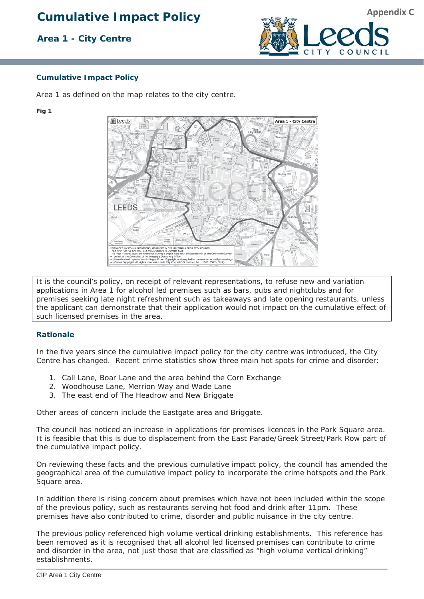# **Cumulative Impact Policy**

## **Area 1 - City Centre**



#### **Cumulative Impact Policy**

Area 1 as defined on the map relates to the city centre.

#### **Fig 1**



It is the council's policy, on receipt of relevant representations, to refuse new and variation applications in Area 1 for alcohol led premises such as bars, pubs and nightclubs and for premises seeking late night refreshment such as takeaways and late opening restaurants, unless the applicant can demonstrate that their application would not impact on the cumulative effect of such licensed premises in the area.

#### **Rationale**

In the five years since the cumulative impact policy for the city centre was introduced, the City Centre has changed. Recent crime statistics show three main hot spots for crime and disorder:

- 1. Call Lane, Boar Lane and the area behind the Corn Exchange
- 2. Woodhouse Lane, Merrion Way and Wade Lane
- 3. The east end of The Headrow and New Briggate

Other areas of concern include the Eastgate area and Briggate.

The council has noticed an increase in applications for premises licences in the Park Square area. It is feasible that this is due to displacement from the East Parade/Greek Street/Park Row part of the cumulative impact policy.

On reviewing these facts and the previous cumulative impact policy, the council has amended the geographical area of the cumulative impact policy to incorporate the crime hotspots and the Park Square area.

In addition there is rising concern about premises which have not been included within the scope of the previous policy, such as restaurants serving hot food and drink after 11pm. These premises have also contributed to crime, disorder and public nuisance in the city centre.

The previous policy referenced high volume vertical drinking establishments. This reference has been removed as it is recognised that all alcohol led licensed premises can contribute to crime and disorder in the area, not just those that are classified as "high volume vertical drinking" establishments.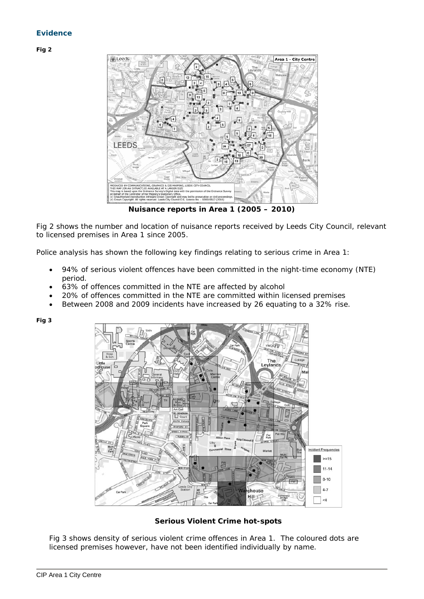### **Evidence**

**Fig 2** 



**Nuisance reports in Area 1 (2005 – 2010)** 

Fig 2 shows the number and location of nuisance reports received by Leeds City Council, relevant to licensed premises in Area 1 since 2005.

Police analysis has shown the following key findings relating to serious crime in Area 1:

- 94% of serious violent offences have been committed in the night-time economy (NTE) period.
- 63% of offences committed in the NTE are affected by alcohol
- 20% of offences committed in the NTE are committed within licensed premises
- Between 2008 and 2009 incidents have increased by 26 equating to a 32% rise.

**Fig 3** 



**Serious Violent Crime hot-spots** 

Fig 3 shows density of serious violent crime offences in Area 1. The coloured dots are licensed premises however, have not been identified individually by name.